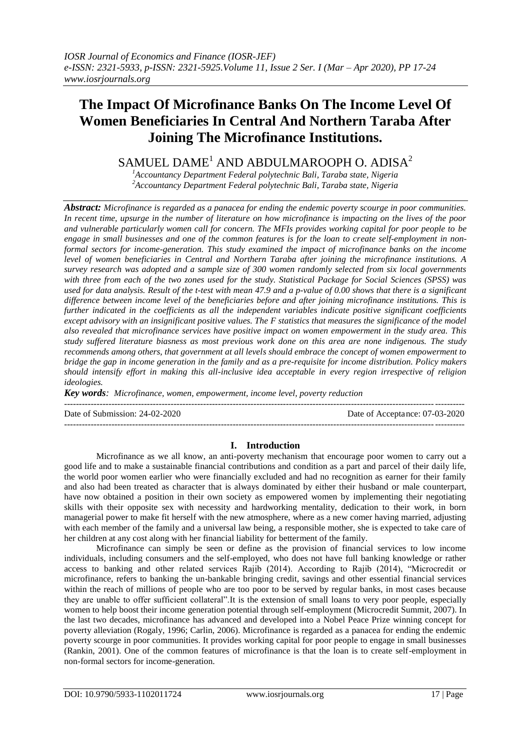# **The Impact Of Microfinance Banks On The Income Level Of Women Beneficiaries In Central And Northern Taraba After Joining The Microfinance Institutions.**

# SAMUEL DAME<sup>1</sup> AND ABDULMAROOPH O. ADISA<sup>2</sup>

*<sup>1</sup>Accountancy Department Federal polytechnic Bali, Taraba state, Nigeria <sup>2</sup>Accountancy Department Federal polytechnic Bali, Taraba state, Nigeria*

*Abstract: Microfinance is regarded as a panacea for ending the endemic poverty scourge in poor communities. In recent time, upsurge in the number of literature on how microfinance is impacting on the lives of the poor and vulnerable particularly women call for concern. The MFIs provides working capital for poor people to be engage in small businesses and one of the common features is for the loan to create self-employment in nonformal sectors for income-generation. This study examined the impact of microfinance banks on the income level of women beneficiaries in Central and Northern Taraba after joining the microfinance institutions. A survey research was adopted and a sample size of 300 women randomly selected from six local governments with three from each of the two zones used for the study. Statistical Package for Social Sciences (SPSS) was used for data analysis. Result of the t-test with mean 47.9 and a p-value of 0.00 shows that there is a significant difference between income level of the beneficiaries before and after joining microfinance institutions. This is further indicated in the coefficients as all the independent variables indicate positive significant coefficients except advisory with an insignificant positive values. The F statistics that measures the significance of the model also revealed that microfinance services have positive impact on women empowerment in the study area. This study suffered literature biasness as most previous work done on this area are none indigenous. The study recommends among others, that government at all levels should embrace the concept of women empowerment to bridge the gap in income generation in the family and as a pre-requisite for income distribution. Policy makers should intensify effort in making this all-inclusive idea acceptable in every region irrespective of religion ideologies.*

*Key words: Microfinance, women, empowerment, income level, poverty reduction*

---------------------------------------------------------------------------------------------------------------------------------------

Date of Submission: 24-02-2020 Date of Acceptance: 07-03-2020

# **I. Introduction**

---------------------------------------------------------------------------------------------------------------------------------------

Microfinance as we all know, an anti-poverty mechanism that encourage poor women to carry out a good life and to make a sustainable financial contributions and condition as a part and parcel of their daily life, the world poor women earlier who were financially excluded and had no recognition as earner for their family and also had been treated as character that is always dominated by either their husband or male counterpart, have now obtained a position in their own society as empowered women by implementing their negotiating skills with their opposite sex with necessity and hardworking mentality, dedication to their work, in born managerial power to make fit herself with the new atmosphere, where as a new comer having married, adjusting with each member of the family and a universal law being, a responsible mother, she is expected to take care of her children at any cost along with her financial liability for betterment of the family.

Microfinance can simply be seen or define as the provision of financial services to low income individuals, including consumers and the self-employed, who does not have full banking knowledge or rather access to banking and other related services Rajib (2014). According to Rajib (2014), "Microcredit or microfinance, refers to banking the un-bankable bringing credit, savings and other essential financial services within the reach of millions of people who are too poor to be served by regular banks, in most cases because they are unable to offer sufficient collateral".It is the extension of small loans to very poor people, especially women to help boost their income generation potential through self-employment (Microcredit Summit, 2007). In the last two decades, microfinance has advanced and developed into a Nobel Peace Prize winning concept for poverty alleviation (Rogaly, 1996; Carlin, 2006). Microfinance is regarded as a panacea for ending the endemic poverty scourge in poor communities. It provides working capital for poor people to engage in small businesses (Rankin, 2001). One of the common features of microfinance is that the loan is to create self-employment in non-formal sectors for income-generation.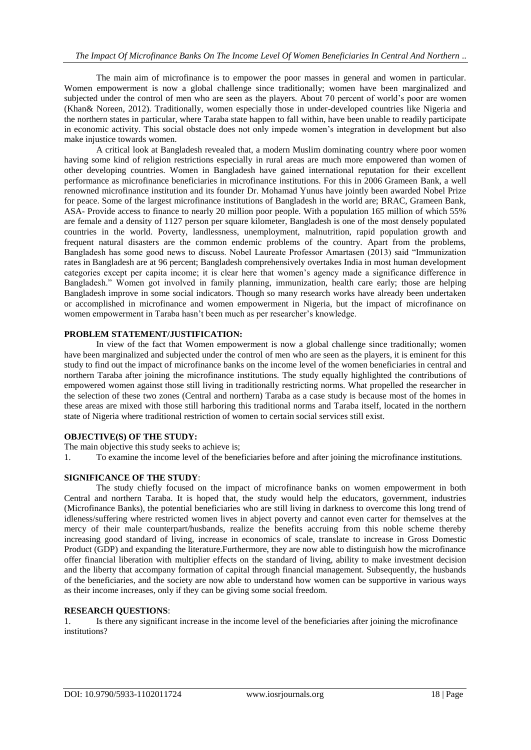The main aim of microfinance is to empower the poor masses in general and women in particular. Women empowerment is now a global challenge since traditionally; women have been marginalized and subjected under the control of men who are seen as the players. About 70 percent of world's poor are women (Khan& Noreen, 2012). Traditionally, women especially those in under-developed countries like Nigeria and the northern states in particular, where Taraba state happen to fall within, have been unable to readily participate in economic activity. This social obstacle does not only impede women's integration in development but also make injustice towards women.

A critical look at Bangladesh revealed that, a modern Muslim dominating country where poor women having some kind of religion restrictions especially in rural areas are much more empowered than women of other developing countries. Women in Bangladesh have gained international reputation for their excellent performance as microfinance beneficiaries in microfinance institutions. For this in 2006 Grameen Bank, a well renowned microfinance institution and its founder Dr. Mohamad Yunus have jointly been awarded Nobel Prize for peace. Some of the largest microfinance institutions of Bangladesh in the world are; BRAC, Grameen Bank, ASA- Provide access to finance to nearly 20 million poor people. With a population 165 million of which 55% are female and a density of 1127 person per square kilometer, Bangladesh is one of the most densely populated countries in the world. Poverty, landlessness, unemployment, malnutrition, rapid population growth and frequent natural disasters are the common endemic problems of the country. Apart from the problems, Bangladesh has some good news to discuss. Nobel Laureate Professor Amartasen (2013) said "Immunization rates in Bangladesh are at 96 percent; Bangladesh comprehensively overtakes India in most human development categories except per capita income; it is clear here that women's agency made a significance difference in Bangladesh." Women got involved in family planning, immunization, health care early; those are helping Bangladesh improve in some social indicators. Though so many research works have already been undertaken or accomplished in microfinance and women empowerment in Nigeria, but the impact of microfinance on women empowerment in Taraba hasn't been much as per researcher's knowledge.

#### **PROBLEM STATEMENT/JUSTIFICATION:**

In view of the fact that Women empowerment is now a global challenge since traditionally; women have been marginalized and subjected under the control of men who are seen as the players, it is eminent for this study to find out the impact of microfinance banks on the income level of the women beneficiaries in central and northern Taraba after joining the microfinance institutions. The study equally highlighted the contributions of empowered women against those still living in traditionally restricting norms. What propelled the researcher in the selection of these two zones (Central and northern) Taraba as a case study is because most of the homes in these areas are mixed with those still harboring this traditional norms and Taraba itself, located in the northern state of Nigeria where traditional restriction of women to certain social services still exist.

#### **OBJECTIVE(S) OF THE STUDY:**

The main objective this study seeks to achieve is;

1. To examine the income level of the beneficiaries before and after joining the microfinance institutions.

#### **SIGNIFICANCE OF THE STUDY**:

The study chiefly focused on the impact of microfinance banks on women empowerment in both Central and northern Taraba. It is hoped that, the study would help the educators, government, industries (Microfinance Banks), the potential beneficiaries who are still living in darkness to overcome this long trend of idleness/suffering where restricted women lives in abject poverty and cannot even carter for themselves at the mercy of their male counterpart/husbands, realize the benefits accruing from this noble scheme thereby increasing good standard of living, increase in economics of scale, translate to increase in Gross Domestic Product (GDP) and expanding the literature.Furthermore, they are now able to distinguish how the microfinance offer financial liberation with multiplier effects on the standard of living, ability to make investment decision and the liberty that accompany formation of capital through financial management. Subsequently, the husbands of the beneficiaries, and the society are now able to understand how women can be supportive in various ways as their income increases, only if they can be giving some social freedom.

#### **RESEARCH QUESTIONS**:

1. Is there any significant increase in the income level of the beneficiaries after joining the microfinance institutions?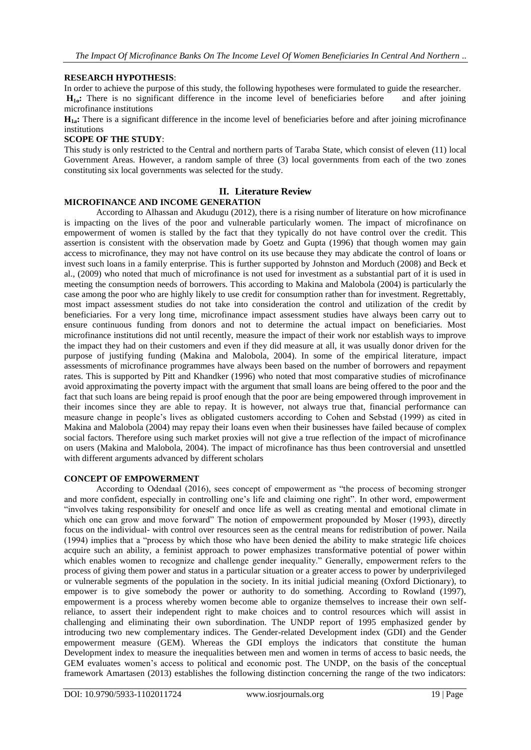#### **RESEARCH HYPOTHESIS**:

In order to achieve the purpose of this study, the following hypotheses were formulated to guide the researcher.

**H1o:** There is no significant difference in the income level of beneficiaries before and after joining microfinance institutions

**H1a:** There is a significant difference in the income level of beneficiaries before and after joining microfinance institutions

#### **SCOPE OF THE STUDY**:

This study is only restricted to the Central and northern parts of Taraba State, which consist of eleven (11) local Government Areas. However, a random sample of three (3) local governments from each of the two zones constituting six local governments was selected for the study.

#### **II. Literature Review**

#### **MICROFINANCE AND INCOME GENERATION**

According to Alhassan and Akudugu (2012), there is a rising number of literature on how microfinance is impacting on the lives of the poor and vulnerable particularly women. The impact of microfinance on empowerment of women is stalled by the fact that they typically do not have control over the credit. This assertion is consistent with the observation made by Goetz and Gupta (1996) that though women may gain access to microfinance, they may not have control on its use because they may abdicate the control of loans or invest such loans in a family enterprise. This is further supported by Johnston and Morduch (2008) and Beck et al., (2009) who noted that much of microfinance is not used for investment as a substantial part of it is used in meeting the consumption needs of borrowers. This according to Makina and Malobola (2004) is particularly the case among the poor who are highly likely to use credit for consumption rather than for investment. Regrettably, most impact assessment studies do not take into consideration the control and utilization of the credit by beneficiaries. For a very long time, microfinance impact assessment studies have always been carry out to ensure continuous funding from donors and not to determine the actual impact on beneficiaries. Most microfinance institutions did not until recently, measure the impact of their work nor establish ways to improve the impact they had on their customers and even if they did measure at all, it was usually donor driven for the purpose of justifying funding (Makina and Malobola, 2004). In some of the empirical literature, impact assessments of microfinance programmes have always been based on the number of borrowers and repayment rates. This is supported by Pitt and Khandker (1996) who noted that most comparative studies of microfinance avoid approximating the poverty impact with the argument that small loans are being offered to the poor and the fact that such loans are being repaid is proof enough that the poor are being empowered through improvement in their incomes since they are able to repay. It is however, not always true that, financial performance can measure change in people's lives as obligated customers according to Cohen and Sebstad (1999) as cited in Makina and Malobola (2004) may repay their loans even when their businesses have failed because of complex social factors. Therefore using such market proxies will not give a true reflection of the impact of microfinance on users (Makina and Malobola, 2004). The impact of microfinance has thus been controversial and unsettled with different arguments advanced by different scholars

#### **CONCEPT OF EMPOWERMENT**

According to Odendaal (2016), sees concept of empowerment as "the process of becoming stronger and more confident, especially in controlling one's life and claiming one right". In other word, empowerment "involves taking responsibility for oneself and once life as well as creating mental and emotional climate in which one can grow and move forward" The notion of empowerment propounded by Moser (1993), directly focus on the individual- with control over resources seen as the central means for redistribution of power. Naila (1994) implies that a "process by which those who have been denied the ability to make strategic life choices acquire such an ability, a feminist approach to power emphasizes transformative potential of power within which enables women to recognize and challenge gender inequality." Generally, empowerment refers to the process of giving them power and status in a particular situation or a greater access to power by underprivileged or vulnerable segments of the population in the society. In its initial judicial meaning (Oxford Dictionary), to empower is to give somebody the power or authority to do something. According to Rowland (1997), empowerment is a process whereby women become able to organize themselves to increase their own selfreliance, to assert their independent right to make choices and to control resources which will assist in challenging and eliminating their own subordination. The UNDP report of 1995 emphasized gender by introducing two new complementary indices. The Gender-related Development index (GDI) and the Gender empowerment measure (GEM). Whereas the GDI employs the indicators that constitute the human Development index to measure the inequalities between men and women in terms of access to basic needs, the GEM evaluates women's access to political and economic post. The UNDP, on the basis of the conceptual framework Amartasen (2013) establishes the following distinction concerning the range of the two indicators: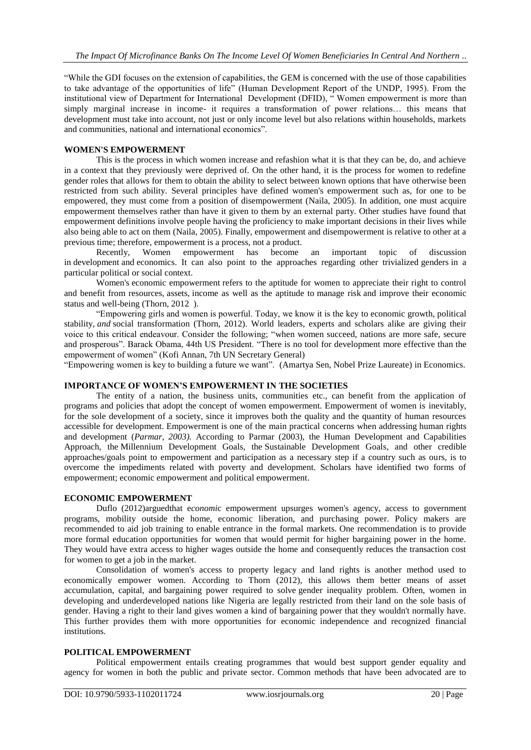"While the GDI focuses on the extension of capabilities, the GEM is concerned with the use of those capabilities to take advantage of the opportunities of life" (Human Development Report of the UNDP, 1995). From the institutional view of Department for International Development (DFID), " Women empowerment is more than simply marginal increase in income- it requires a transformation of power relations… this means that development must take into account, not just or only income level but also relations within households, markets and communities, national and international economics".

#### **WOMEN'S EMPOWERMENT**

This is the process in which women increase and refashion what it is that they can be, do, and achieve in a context that they previously were deprived of. On the other hand, it is the process for women to redefine gender roles that allows for them to obtain the ability to select between known options that have otherwise been restricted from such ability. Several principles have defined women's empowerment such as, for one to be empowered, they must come from a position of disempowerment (Naila, 2005). In addition, one must acquire empowerment themselves rather than have it given to them by an external party. Other studies have found that empowerment definitions involve people having the proficiency to make important decisions in their lives while also being able to act on them (Naila, 2005). Finally, empowerment and disempowerment is relative to other at a previous time; therefore, empowerment is a process, not a product.

Recently, Women empowerment has become an important topic of discussion in [development](https://en.wikipedia.org/wiki/Human_development_(humanity)) and [economics.](https://en.wikipedia.org/wiki/Economics) It can also point to the approaches regarding other trivialized [genders](https://en.wikipedia.org/wiki/Gender) in a particular political or social context.

Women's [economic empowerment](https://en.wikipedia.org/wiki/Economic_empowerment) refers to the aptitude for women to appreciate their right to control and benefit from resources, [assets,](https://en.wikipedia.org/wiki/Asset) [income](https://en.wikipedia.org/wiki/Income) as well as the aptitude to [manage risk](https://en.wikipedia.org/wiki/Risk_management) and improve their economic status and well-being (Thorn, 2012 ).

"Empowering girls and women is powerful. Today, we know it is the key to economic growth, political stability, *and* social transformation (Thorn, 2012). World leaders, experts and scholars alike are giving their voice to this critical endeavour. Consider the following; "when women succeed, nations are more safe, secure and prosperous". Barack Obama, 44th US President. "There is no tool for development more effective than the empowerment of women" (Kofi Annan, 7th UN Secretary General)

"Empowering women is key to building a future we want". (Amartya Sen, Nobel Prize Laureate) in Economics.

# **IMPORTANCE OF WOMEN'S EMPOWERMENT IN THE SOCIETIES**

The entity of a nation, the business units, communities etc., can benefit from the application of programs and policies that adopt the concept of women empowerment. Empowerment of women is inevitably, for the sole development of a society, since it improves both the quality and the quantity of human resources accessible for development. [Empowerment](https://en.wikipedia.org/wiki/Empowerment) is one of the main practical concerns when addressing [human rights](https://en.wikipedia.org/wiki/Human_rights_and_development)  [and development](https://en.wikipedia.org/wiki/Human_rights_and_development) (*Parmar, 2003).* According to Parmar (2003), [the Human Development and Capabilities](https://en.wikipedia.org/wiki/Capability_approach)  [Approach,](https://en.wikipedia.org/wiki/Capability_approach) the [Millennium Development Goals,](https://en.wikipedia.org/wiki/Millennium_Development_Goals) the [Sustainable Development Goals,](https://en.wikipedia.org/wiki/Sustainable_Development_Goals) and other credible approaches/goals point to empowerment and participation as a necessary step if a country such as ours, is to overcome the impediments related with poverty and development. Scholars have identified two forms of empowerment; economic empowerment and political empowerment.

#### **ECONOMIC EMPOWERMENT**

Duflo (2012)arguedthat e*conomi*c empowerment upsurges women's agency, access to government programs, mobility outside the home, economic liberation, and purchasing power. Policy makers are recommended to aid job training to enable entrance in the formal markets. One recommendation is to provide more formal education opportunities for women that would permit for higher bargaining power in the home. They would have extra access to higher wages outside the home and consequently reduces the transaction cost for women to get a job in the market.

Consolidation of women's access to property legacy and land rights is another method used to economically empower women. According to Thorn (2012), this allows them better means of asset accumulation, capital, and [bargaining power](https://en.wikipedia.org/wiki/Bargaining_power) required to solve [gender inequality](https://en.wikipedia.org/wiki/Gender_inequalities) problem. Often, women in developing and underdeveloped nations like Nigeria are legally restricted from their land on the sole basis of gender. Having a right to their land gives women a kind of bargaining power that they wouldn't normally have. This further provides them with more opportunities for economic independence and recognized financial institutions.

### **POLITICAL EMPOWERMENT**

Political empowerment entails creating programmes that would best support gender equality and agency for women in both the public and private sector. Common methods that have been advocated are to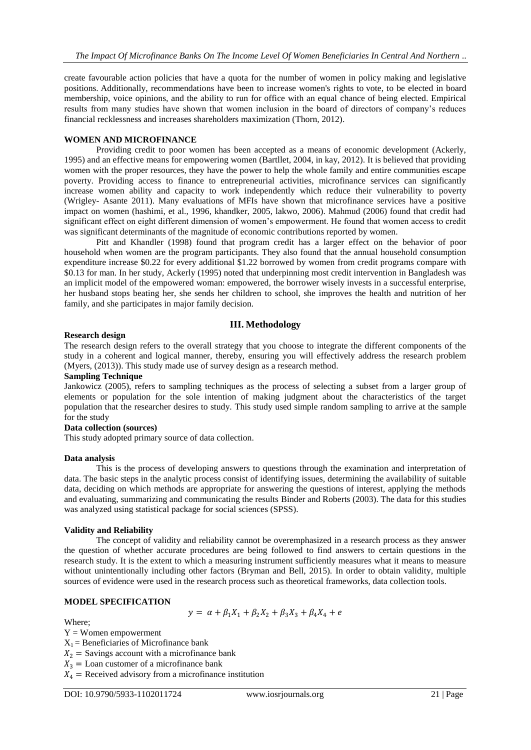create favourable action policies that have a quota for the number of women in policy making and legislative positions. Additionally, recommendations have been to increase women's rights to [vote,](https://en.wikipedia.org/wiki/Vote) to be elected in board membership, voice opinions, and the ability to run for office with an equal chance of being elected. Empirical results from many studies have shown that women inclusion in the board of directors of company's reduces financial recklessness and increases shareholders maximization (Thorn, 2012).

#### **WOMEN AND MICROFINANCE**

Providing credit to poor women has been accepted as a means of economic development (Ackerly, 1995) and an effective means for empowering women (Bartllet, 2004, in kay, 2012). It is believed that providing women with the proper resources, they have the power to help the whole family and entire communities escape poverty. Providing access to finance to entrepreneurial activities, microfinance services can significantly increase women ability and capacity to work independently which reduce their vulnerability to poverty (Wrigley- Asante 2011). Many evaluations of MFIs have shown that microfinance services have a positive impact on women (hashimi, et al., 1996, khandker, 2005, lakwo, 2006). Mahmud (2006) found that credit had significant effect on eight different dimension of women's empowerment. He found that women access to credit was significant determinants of the magnitude of economic contributions reported by women.

Pitt and Khandler (1998) found that program credit has a larger effect on the behavior of poor household when women are the program participants. They also found that the annual household consumption expenditure increase \$0.22 for every additional \$1.22 borrowed by women from credit programs compare with \$0.13 for man. In her study, Ackerly (1995) noted that underpinning most credit intervention in Bangladesh was an implicit model of the empowered woman: empowered, the borrower wisely invests in a successful enterprise, her husband stops beating her, she sends her children to school, she improves the health and nutrition of her family, and she participates in major family decision.

#### **III. Methodology**

#### **Research design**

The research design refers to the overall strategy that you choose to integrate the different components of the study in a coherent and logical manner, thereby, ensuring you will effectively address the research problem (Myers, (2013)). This study made use of survey design as a research method.

# **Sampling Technique**

Jankowicz (2005), refers to sampling techniques as the process of selecting a subset from a larger group of elements or population for the sole intention of making judgment about the characteristics of the target population that the researcher desires to study. This study used simple random sampling to arrive at the sample for the study

#### **Data collection (sources)**

This study adopted primary source of data collection.

#### **Data analysis**

This is the process of developing answers to questions through the examination and interpretation of data. The basic steps in the analytic process consist of identifying issues, determining the availability of suitable data, deciding on which methods are appropriate for answering the questions of interest, applying the methods and evaluating, summarizing and communicating the results Binder and Roberts (2003). The data for this studies was analyzed using statistical package for social sciences (SPSS).

#### **Validity and Reliability**

The concept of validity and reliability cannot be overemphasized in a research process as they answer the question of whether accurate procedures are being followed to find answers to certain questions in the research study. It is the extent to which a measuring instrument sufficiently measures what it means to measure without unintentionally including other factors (Bryman and Bell, 2015). In order to obtain validity, multiple sources of evidence were used in the research process such as theoretical frameworks, data collection tools.

#### **MODEL SPECIFICATION**

$$
y = \alpha + \beta_1 X_1 + \beta_2 X_2 + \beta_3 X_3 + \beta_4 X_4 + e
$$

Where;

 $Y =$  Women empowerment

 $X_1$  = Beneficiaries of Microfinance bank

 $X_2$  = Savings account with a microfinance bank

 $X_3$  = Loan customer of a microfinance bank

 $X_4$  = Received advisory from a microfinance institution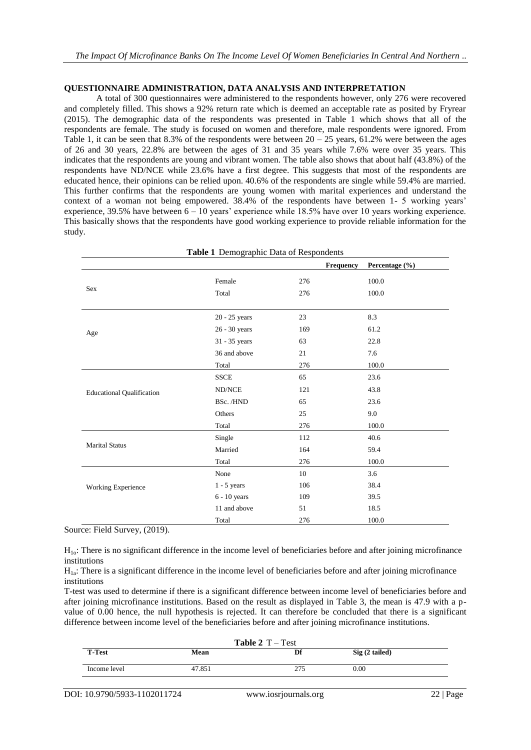#### **QUESTIONNAIRE ADMINISTRATION, DATA ANALYSIS AND INTERPRETATION**

A total of 300 questionnaires were administered to the respondents however, only 276 were recovered and completely filled. This shows a 92% return rate which is deemed an acceptable rate as posited by Fryrear (2015). The demographic data of the respondents was presented in Table 1 which shows that all of the respondents are female. The study is focused on women and therefore, male respondents were ignored. From Table 1, it can be seen that 8.3% of the respondents were between  $20 - 25$  years,  $61.2$ % were between the ages of 26 and 30 years, 22.8% are between the ages of 31 and 35 years while 7.6% were over 35 years. This indicates that the respondents are young and vibrant women. The table also shows that about half (43.8%) of the respondents have ND/NCE while 23.6% have a first degree. This suggests that most of the respondents are educated hence, their opinions can be relied upon. 40.6% of the respondents are single while 59.4% are married. This further confirms that the respondents are young women with marital experiences and understand the context of a woman not being empowered. 38.4% of the respondents have between 1- 5 working years' experience, 39.5% have between 6 – 10 years' experience while 18.5% have over 10 years working experience. This basically shows that the respondents have good working experience to provide reliable information for the study.

| Table 1 Demographic Data of Respondents |                |                  |                |  |  |
|-----------------------------------------|----------------|------------------|----------------|--|--|
|                                         |                | <b>Frequency</b> | Percentage (%) |  |  |
| Sex                                     | Female         | 276              | 100.0          |  |  |
|                                         | Total          | 276              | 100.0          |  |  |
|                                         | 20 - 25 years  | 23               | 8.3            |  |  |
| Age                                     | 26 - 30 years  | 169              | 61.2           |  |  |
|                                         | 31 - 35 years  | 63               | 22.8           |  |  |
|                                         | 36 and above   | 21               | 7.6            |  |  |
|                                         | Total          | 276              | 100.0          |  |  |
|                                         | <b>SSCE</b>    | 65               | 23.6           |  |  |
| <b>Educational Qualification</b>        | ND/NCE         | 121              | 43.8           |  |  |
|                                         | BSc./HND       | 65               | 23.6           |  |  |
|                                         | Others         | 25               | 9.0            |  |  |
|                                         | Total          | 276              | 100.0          |  |  |
|                                         | Single         | 112              | 40.6           |  |  |
| <b>Marital Status</b>                   | Married        | 164              | 59.4           |  |  |
|                                         | Total          | 276              | 100.0          |  |  |
|                                         | None           | 10               | 3.6            |  |  |
| Working Experience                      | $1 - 5$ years  | 106              | 38.4           |  |  |
|                                         | $6 - 10$ years | 109              | 39.5           |  |  |
|                                         | 11 and above   | 51               | 18.5           |  |  |
|                                         | Total          | 276              | 100.0          |  |  |

Source: Field Survey, (2019).

H1o: There is no significant difference in the income level of beneficiaries before and after joining microfinance institutions

 $H_{1a}$ : There is a significant difference in the income level of beneficiaries before and after joining microfinance institutions

T-test was used to determine if there is a significant difference between income level of beneficiaries before and after joining microfinance institutions. Based on the result as displayed in Table 3, the mean is 47.9 with a pvalue of 0.00 hence, the null hypothesis is rejected. It can therefore be concluded that there is a significant difference between income level of the beneficiaries before and after joining microfinance institutions.

| <b>Table 2</b> $T - Test$ |        |     |                 |  |  |  |  |
|---------------------------|--------|-----|-----------------|--|--|--|--|
| <b>T-Test</b>             | Mean   | Df  | $Sig(2-tailed)$ |  |  |  |  |
| Income level              | 47.851 | 275 | 0.00            |  |  |  |  |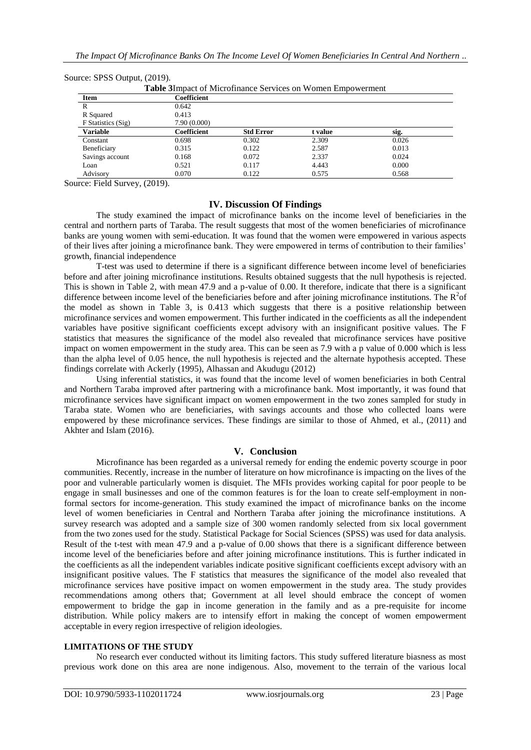| <b>Table 3</b> Impact of Microfinance Services on Women Empowerment |              |                  |         |       |  |  |
|---------------------------------------------------------------------|--------------|------------------|---------|-------|--|--|
| Item                                                                | Coefficient  |                  |         |       |  |  |
| R                                                                   | 0.642        |                  |         |       |  |  |
| R Squared                                                           | 0.413        |                  |         |       |  |  |
| F Statistics (Sig)                                                  | 7.90 (0.000) |                  |         |       |  |  |
| Variable                                                            | Coefficient  | <b>Std Error</b> | t value | sig.  |  |  |
| Constant                                                            | 0.698        | 0.302            | 2.309   | 0.026 |  |  |
| Beneficiary                                                         | 0.315        | 0.122            | 2.587   | 0.013 |  |  |
| Savings account                                                     | 0.168        | 0.072            | 2.337   | 0.024 |  |  |
| Loan                                                                | 0.521        | 0.117            | 4.443   | 0.000 |  |  |
| Advisory                                                            | 0.070        | 0.122            | 0.575   | 0.568 |  |  |

Source: SPSS Output, (2019).

Source: Field Survey, (2019).

### **IV. Discussion Of Findings**

The study examined the impact of microfinance banks on the income level of beneficiaries in the central and northern parts of Taraba. The result suggests that most of the women beneficiaries of microfinance banks are young women with semi-education. It was found that the women were empowered in various aspects of their lives after joining a microfinance bank. They were empowered in terms of contribution to their families' growth, financial independence

T-test was used to determine if there is a significant difference between income level of beneficiaries before and after joining microfinance institutions. Results obtained suggests that the null hypothesis is rejected. This is shown in Table 2, with mean 47.9 and a p-value of 0.00. It therefore, indicate that there is a significant difference between income level of the beneficiaries before and after joining microfinance institutions. The  $R^2$ of the model as shown in Table 3, is 0.413 which suggests that there is a positive relationship between microfinance services and women empowerment. This further indicated in the coefficients as all the independent variables have positive significant coefficients except advisory with an insignificant positive values. The F statistics that measures the significance of the model also revealed that microfinance services have positive impact on women empowerment in the study area. This can be seen as 7.9 with a p value of 0.000 which is less than the alpha level of 0.05 hence, the null hypothesis is rejected and the alternate hypothesis accepted. These findings correlate with Ackerly (1995), Alhassan and Akudugu (2012)

Using inferential statistics, it was found that the income level of women beneficiaries in both Central and Northern Taraba improved after partnering with a microfinance bank. Most importantly, it was found that microfinance services have significant impact on women empowerment in the two zones sampled for study in Taraba state. Women who are beneficiaries, with savings accounts and those who collected loans were empowered by these microfinance services. These findings are similar to those of Ahmed, et al., (2011) and Akhter and Islam (2016).

# **V. Conclusion**

Microfinance has been regarded as a universal remedy for ending the endemic poverty scourge in poor communities. Recently, increase in the number of literature on how microfinance is impacting on the lives of the poor and vulnerable particularly women is disquiet. The MFIs provides working capital for poor people to be engage in small businesses and one of the common features is for the loan to create self-employment in nonformal sectors for income-generation. This study examined the impact of microfinance banks on the income level of women beneficiaries in Central and Northern Taraba after joining the microfinance institutions. A survey research was adopted and a sample size of 300 women randomly selected from six local government from the two zones used for the study. Statistical Package for Social Sciences (SPSS) was used for data analysis. Result of the t-test with mean 47.9 and a p-value of 0.00 shows that there is a significant difference between income level of the beneficiaries before and after joining microfinance institutions. This is further indicated in the coefficients as all the independent variables indicate positive significant coefficients except advisory with an insignificant positive values. The F statistics that measures the significance of the model also revealed that microfinance services have positive impact on women empowerment in the study area. The study provides recommendations among others that; Government at all level should embrace the concept of women empowerment to bridge the gap in income generation in the family and as a pre-requisite for income distribution. While policy makers are to intensify effort in making the concept of women empowerment acceptable in every region irrespective of religion ideologies.

#### **LIMITATIONS OF THE STUDY**

No research ever conducted without its limiting factors. This study suffered literature biasness as most previous work done on this area are none indigenous. Also, movement to the terrain of the various local